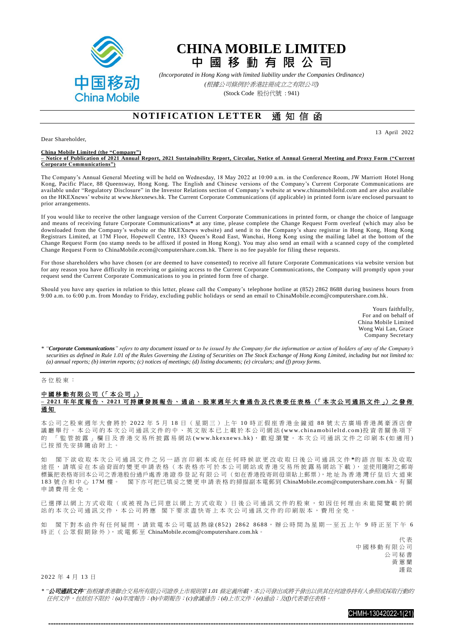

## **CHINA MOBILE LIMITED**

**中 國 移 動 有 限 公 司**

*(Incorporated in Hong Kong with limited liability under the Companies Ordinance)*

*(*根據公司條例於香港註冊成立之有限公司*)*

(Stock Code 股份代號 : 941)

## **NOTIFICATION LETTER** 通知信函

13 April 2022

Dear Shareholder,

**China Mobile Limited (the "Company") – Notice of Publication of 2021 Annual Report, 2021 Sustainability Report, Circular, Notice of Annual General Meeting and Proxy Form ("Current Corporate Communications")**

The Company's Annual General Meeting will be held on Wednesday, 18 May 2022 at 10:00 a.m. in the Conference Room, JW Marriott Hotel Hong Kong, Pacific Place, 88 Queensway, Hong Kong. The English and Chinese versions of the Company's Current Corporate Communications are available under "Regulatory Disclosure" in the Investor Relations section of Company's website at [www.chinamobileltd.com](http://www.chinamobileltd.com/) and are also available on the HKEXnews' website at [www.hkexnews.hk.](http://www.hkexnews.hk/) The Current Corporate Communications (if applicable) in printed form is/are enclosed pursuant to prior arrangements.

If you would like to receive the other language version of the Current Corporate Communications in printed form, or change the choice of language and means of receiving future Corporate Communications**\*** at any time, please complete the Change Request Form overleaf (which may also be downloaded from the Company's website or the HKEXnews website) and send it to the Company's share registrar in Hong Kong, Hong Kong Registrars Limited, at 17M Floor, Hopewell Centre, 183 Queen's Road East, Wanchai, Hong Kong using the mailing label at the bottom of the Change Request Form (no stamp needs to be affixed if posted in Hong Kong). You may also send an email with a scanned copy of the completed Change Request Form t[o ChinaMobile.ecom@computershare.com.hk.](mailto:ChinaMobile.ecom@computershare.com.hk) There is no fee payable for filing these requests.

For those shareholders who have chosen (or are deemed to have consented) to receive all future Corporate Communications via website version but for any reason you have difficulty in receiving or gaining access to the Current Corporate Communications, the Company will promptly upon your request send the Current Corporate Communications to you in printed form free of charge.

Should you have any queries in relation to this letter, please call the Company's telephone hotline at (852) 2862 8688 during business hours from 9:00 a.m. to 6:00 p.m. from Monday to Friday, excluding public holidays or send an email to ChinaMobile.ecom@computershare.com.hk.

> Yours faithfully, For and on behalf of China Mobile Limited Wong Wai Lan, Grace Company Secretary

*\* "Corporate Communications" refers to any document issued or to be issued by the Company for the information or action of holders of any of the Company's securities as defined in Rule 1.01 of the Rules Governing the Listing of Securities on The Stock Exchange of Hong Kong Limited, including but not limited to: (a) annual reports; (b) interim reports; (c) notices of meetings; (d) listing documents; (e) circulars; and (f) proxy forms.*

## 各位股東:

## 中國移動有限公司 (「本公司」) **– 2 02 1** 年 年 度 報 告 、 **20 21** 可 持 續 發 展 報 告 、 通 函 、 股 東 週 年 大 會 通 告 及 代 表 委 任 表 格 (「 本 次 公 司 通 訊 文 件 」) 之 發 佈 通 知

本公司之股東週年大會將於 2 0 2 2 年 5 月 1 8 日 ( 星 期 三 ) 上 午 1 0 時 正 假 座 香 港 金 鐘 道 8 8 號太古廣場香港萬豪酒店會 議廳舉行。本公司的本次公司通訊文件的中、英文版本已上載於本公司網站(www.chinamobileltd.com)投資者關係項下 的 「 監管披露 」欄目及香港交易所披露易網站(www.hkexnews.hk),歡迎瀏覽。本次公司通訊文件之印刷本(如適用) 已 按 預 先 安 排 隨 函 附 上 。

如 閣 下 欲 收 取 本 次 公 司 通 訊 文 件 之 另 一 語 言 印 刷 本 或 在 任 何 時 候 欲 更 改 收 取 日 後 公 司 通 訊 文 件 **\***的 語 言 版 本 及 收 取 途徑,請填妥在本函背面的變更申請表格(本表格亦可於本公司網站或香港交易所披露易網站下載),並使用隨附之郵寄 標籤把表格寄回本公司之香港股份過戶處香 港 證 券 登 記 有 限 公 司 (如在香港投寄則毋須貼上郵票),地 址 為 香 港 灣 仔 皇 后 大 道 東 183 號合和中心 17M 樓 。 閣下亦可把已填妥之變更申請表格 的掃描副本電郵到 [ChinaMobile.ecom@computershare.com.hk](mailto:ChinaMobile.ecom@computershare.com.hk)。有 關 申請費用全免。

已 選 擇 以 網 上 方 式 收 取 ( 或 被 視 為 已 同 意 以 網 上 方 式 收 取 ) 日 後 公 司 通 訊 文 件 的 股 東 , 如 因 任 何 理 由 未 能 閱 覽 載 於 網 站的本次公司通訊文件,本公司將應 閣下要求盡快寄上本次公司通訊文件的印刷版本,費用全免。

如 閣下對本函件有任何疑問,請致電本公司電話熱線(852) 2862 8688,辦公時間為星期一至五上午 9 時正至下午 6 時正 (公眾假期除外),或雷郵至 [ChinaMobile.ecom@computershare.com.hk](mailto:ChinaMobile.ecom@computershare.com.hk)。

> 代 表 中國移動有限公司 公司秘書 黃蕙蘭 謹 啟

2 0 22 年 4 月 13 日

\* "**公司通訊文件**"指根據香港聯合交易所有限公司證券上市規則第 1.01 條定義所載,本公司發出或將予發出以供其任何證券持有人參照或採取行動的 任何文件,包括但不限於:*(a)*年度報告;*(b)*中期報告;*(c)*會議通告;*(d)*上市文件;*(e)*通函;及*(f)*代表委任表格。